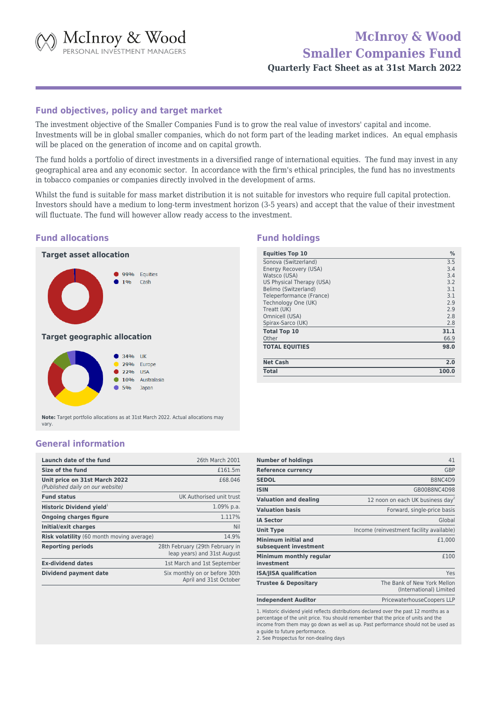McInroy & Wood

# **McInroy & Wood Smaller Companies Fund**

**Quarterly Fact Sheet as at 31st March 2022**

#### **Fund objectives, policy and target market**

The investment objective of the Smaller Companies Fund is to grow the real value of investors' capital and income. Investments will be in global smaller companies, which do not form part of the leading market indices. An equal emphasis will be placed on the generation of income and on capital growth.

The fund holds a portfolio of direct investments in a diversified range of international equities. The fund may invest in any geographical area and any economic sector. In accordance with the firm's ethical principles, the fund has no investments in tobacco companies or companies directly involved in the development of arms.

Whilst the fund is suitable for mass market distribution it is not suitable for investors who require full capital protection. Investors should have a medium to long-term investment horizon (3-5 years) and accept that the value of their investment will fluctuate. The fund will however allow ready access to the investment.

## **Fund allocations**

# **Target asset allocation**





**Note:** Target portfolio allocations as at 31st March 2022. Actual allocations may vary.

## **General information**

| Launch date of the fund                                           | 26th March 2001                                                |
|-------------------------------------------------------------------|----------------------------------------------------------------|
| Size of the fund                                                  | £161.5m                                                        |
| Unit price on 31st March 2022<br>(Published daily on our website) | £68.046                                                        |
| <b>Fund status</b>                                                | UK Authorised unit trust                                       |
| Historic Dividend yield <sup>1</sup>                              | $1.09\%$ p.a.                                                  |
| <b>Ongoing charges figure</b>                                     | 1.117%                                                         |
| <b>Initial/exit charges</b>                                       | Nil                                                            |
| Risk volatility (60 month moving average)                         | 14.9%                                                          |
| <b>Reporting periods</b>                                          | 28th February (29th February in<br>leap years) and 31st August |
| <b>Ex-dividend dates</b>                                          | 1st March and 1st September                                    |
| Dividend payment date                                             | Six monthly on or before 30th<br>April and 31st October        |

| <b>Number of holdings</b>                    | 41                                                     |
|----------------------------------------------|--------------------------------------------------------|
| <b>Reference currency</b>                    | <b>GBP</b>                                             |
| <b>SEDOL</b>                                 | B8NC4D9                                                |
| <b>ISIN</b>                                  | GB00B8NC4D98                                           |
| <b>Valuation and dealing</b>                 | 12 noon on each UK business day <sup>2</sup>           |
| <b>Valuation basis</b>                       | Forward, single-price basis                            |
| <b>IA Sector</b>                             | Global                                                 |
| <b>Unit Type</b>                             | Income (reinvestment facility available)               |
| Minimum initial and<br>subsequent investment | £1,000                                                 |
| Minimum monthly regular<br>investment        | £100                                                   |
| <b>ISA/JISA qualification</b>                | Yes                                                    |
| <b>Trustee &amp; Depositary</b>              | The Bank of New York Mellon<br>(International) Limited |
| <b>Independent Auditor</b>                   | PricewaterhouseCoopers LLP                             |

1. Historic dividend yield reflects distributions declared over the past 12 months as a percentage of the unit price. You should remember that the price of units and the income from them may go down as well as up. Past performance should not be used as a guide to future performance. 2. See Prospectus for non-dealing days

## **Fund holdings**

| <b>Equities Top 10</b>    | %     |
|---------------------------|-------|
| Sonova (Switzerland)      | 3.5   |
| Energy Recovery (USA)     | 3.4   |
| Watsco (USA)              | 3.4   |
| US Physical Therapy (USA) | 3.2   |
| Belimo (Switzerland)      | 3.1   |
| Teleperformance (France)  | 3.1   |
| Technology One (UK)       | 2.9   |
| Treatt (UK)               | 2.9   |
| Omnicell (USA)            | 2.8   |
| Spirax-Sarco (UK)         | 2.8   |
| <b>Total Top 10</b>       | 31.1  |
| Other                     | 66.9  |
| <b>TOTAL EQUITIES</b>     | 98.0  |
| <b>Net Cash</b>           | 2.0   |
| <b>Total</b>              | 100.0 |